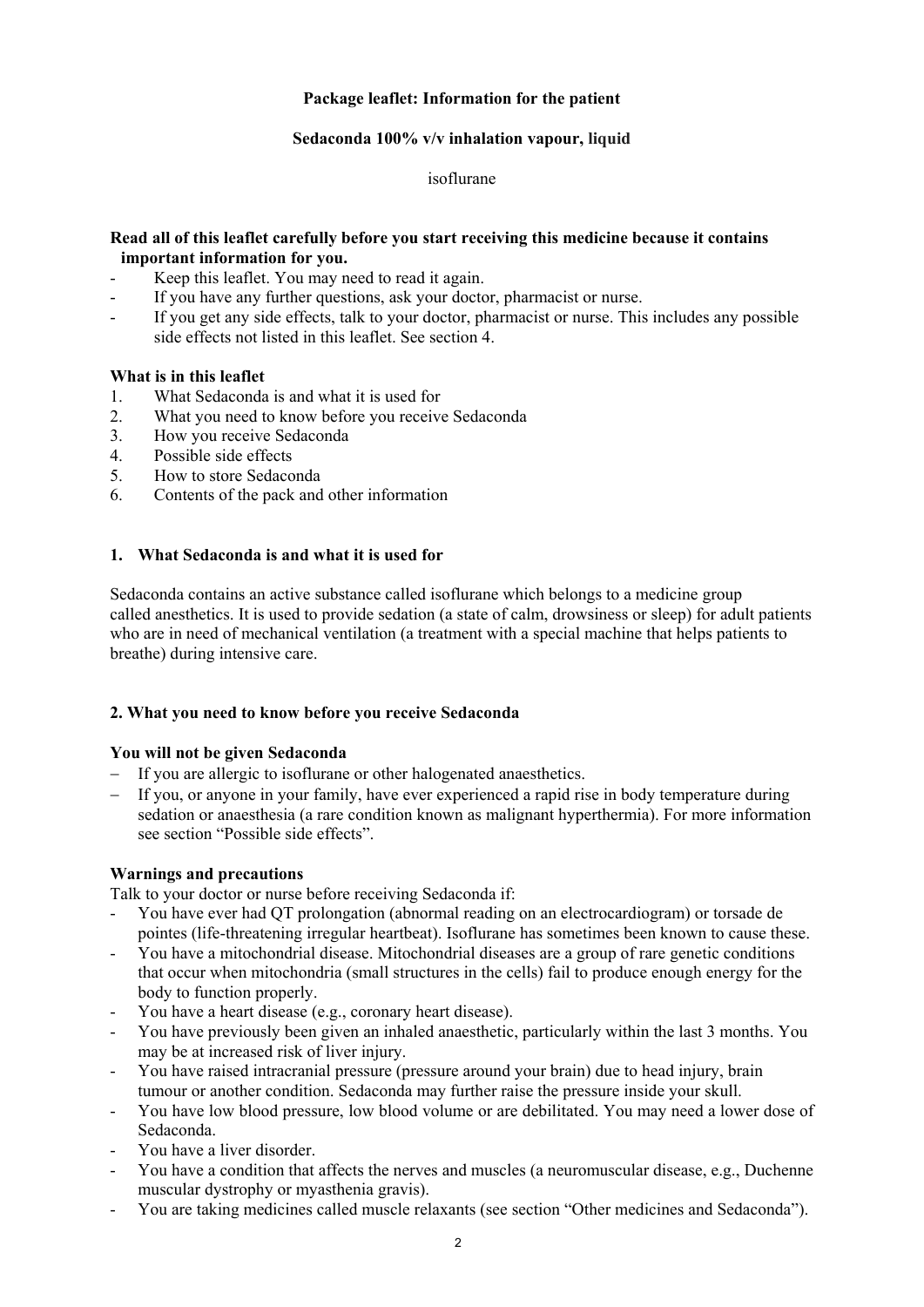# **Package leaflet: Information for the patient**

# **Sedaconda 100% v/v inhalation vapour, liquid**

isoflurane

### **Read all of this leaflet carefully before you start receiving this medicine because it contains important information for you.**

- Keep this leaflet. You may need to read it again.
- If you have any further questions, ask your doctor, pharmacist or nurse.
- If you get any side effects, talk to your doctor, pharmacist or nurse. This includes any possible side effects not listed in this leaflet. See section 4.

# **What is in this leaflet**

- 1. What Sedaconda is and what it is used for
- 2. What you need to know before you receive Sedaconda
- 3. How you receive Sedaconda
- 4. Possible side effects
- 5. How to store Sedaconda
- 6. Contents of the pack and other information

# **1. What Sedaconda is and what it is used for**

Sedaconda contains an active substance called isoflurane which belongs to a medicine group called anesthetics. It is used to provide sedation (a state of calm, drowsiness or sleep) for adult patients who are in need of mechanical ventilation (a treatment with a special machine that helps patients to breathe) during intensive care.

### **2. What you need to know before you receive Sedaconda**

### **You will not be given Sedaconda**

- If you are allergic to isoflurane or other halogenated anaesthetics.
- If you, or anyone in your family, have ever experienced a rapid rise in body temperature during sedation or anaesthesia (a rare condition known as malignant hyperthermia). For more information see section "Possible side effects".

### **Warnings and precautions**

Talk to your doctor or nurse before receiving Sedaconda if:

- You have ever had QT prolongation (abnormal reading on an electrocardiogram) or torsade de pointes (life-threatening irregular heartbeat). Isoflurane has sometimes been known to cause these.
- You have a mitochondrial disease. Mitochondrial diseases are a group of rare genetic conditions that occur when mitochondria (small structures in the cells) fail to produce enough energy for the body to function properly.
- You have a heart disease (e.g., coronary heart disease).
- You have previously been given an inhaled anaesthetic, particularly within the last 3 months. You may be at increased risk of liver injury.
- You have raised intracranial pressure (pressure around your brain) due to head injury, brain tumour or another condition. Sedaconda may further raise the pressure inside your skull.
- You have low blood pressure, low blood volume or are debilitated. You may need a lower dose of Sedaconda.
- You have a liver disorder.
- You have a condition that affects the nerves and muscles (a neuromuscular disease, e.g., Duchenne muscular dystrophy or myasthenia gravis).
- You are taking medicines called muscle relaxants (see section "Other medicines and Sedaconda").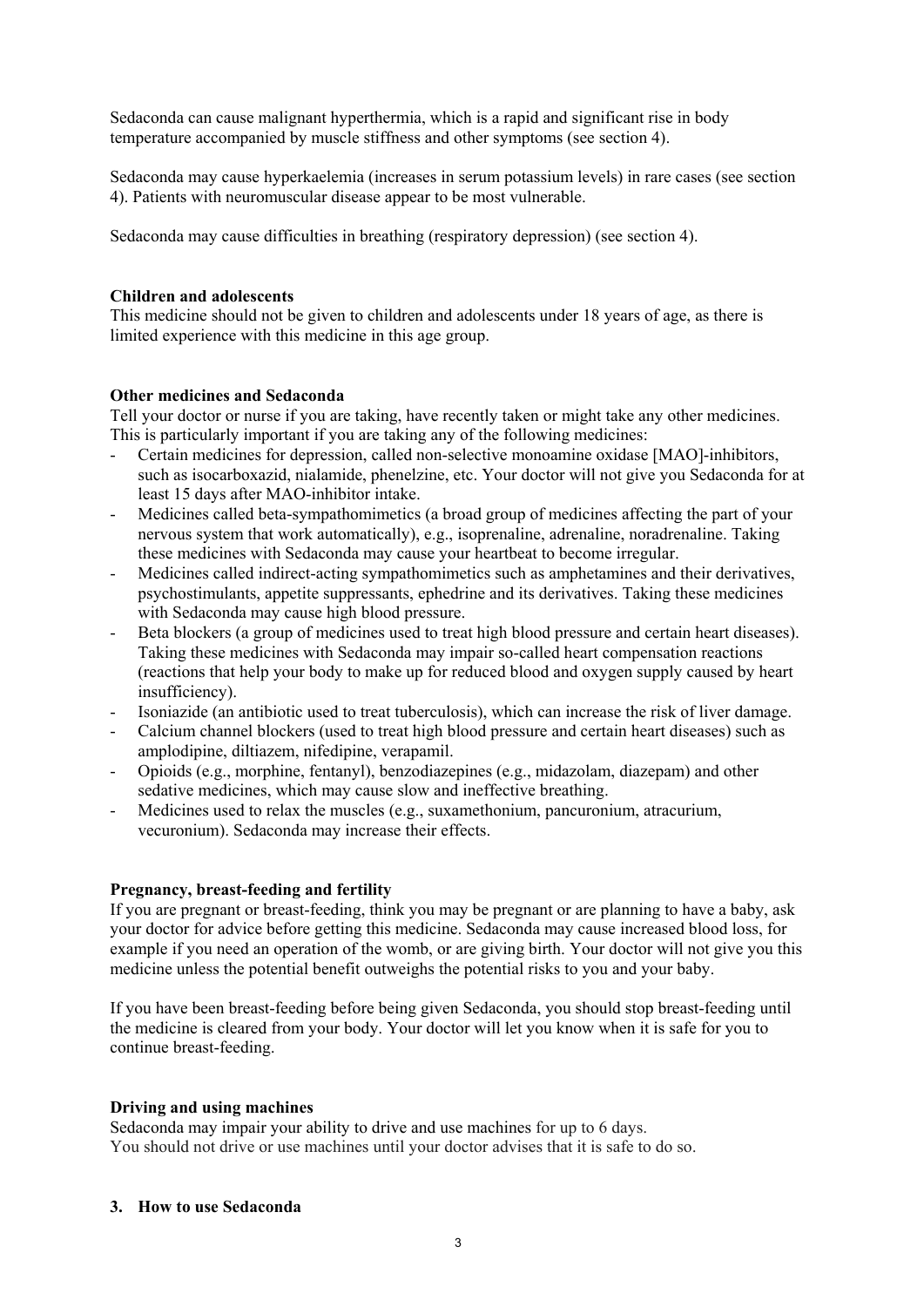Sedaconda can cause malignant hyperthermia, which is a rapid and significant rise in body temperature accompanied by muscle stiffness and other symptoms (see section 4).

Sedaconda may cause hyperkaelemia (increases in serum potassium levels) in rare cases (see section 4). Patients with neuromuscular disease appear to be most vulnerable.

Sedaconda may cause difficulties in breathing (respiratory depression) (see section 4).

### **Children and adolescents**

This medicine should not be given to children and adolescents under 18 years of age, as there is limited experience with this medicine in this age group.

#### **Other medicines and Sedaconda**

Tell your doctor or nurse if you are taking, have recently taken or might take any other medicines. This is particularly important if you are taking any of the following medicines:

- Certain medicines for depression, called non-selective monoamine oxidase [MAO]-inhibitors, such as isocarboxazid, nialamide, phenelzine, etc. Your doctor will not give you Sedaconda for at least 15 days after MAO-inhibitor intake.
- Medicines called beta*-*sympathomimetics (a broad group of medicines affecting the part of your nervous system that work automatically), e.g., isoprenaline, adrenaline, noradrenaline. Taking these medicines with Sedaconda may cause your heartbeat to become irregular.
- Medicines called indirect-acting sympathomimetics such as amphetamines and their derivatives, psychostimulants, appetite suppressants, ephedrine and its derivatives. Taking these medicines with Sedaconda may cause high blood pressure.
- Beta blockers (a group of medicines used to treat high blood pressure and certain heart diseases). Taking these medicines with Sedaconda may impair so-called heart compensation reactions (reactions that help your body to make up for reduced blood and oxygen supply caused by heart insufficiency).
- Isoniazide (an antibiotic used to treat tuberculosis), which can increase the risk of liver damage.
- Calcium channel blockers (used to treat high blood pressure and certain heart diseases) such as amplodipine, diltiazem, nifedipine, verapamil.
- Opioids (e.g., morphine, fentanyl), benzodiazepines (e.g., midazolam, diazepam) and other sedative medicines, which may cause slow and ineffective breathing.
- Medicines used to relax the muscles (e.g., suxamethonium, pancuronium, atracurium, vecuronium). Sedaconda may increase their effects.

### **Pregnancy, breast-feeding and fertility**

If you are pregnant or breast-feeding, think you may be pregnant or are planning to have a baby, ask your doctor for advice before getting this medicine. Sedaconda may cause increased blood loss, for example if you need an operation of the womb, or are giving birth. Your doctor will not give you this medicine unless the potential benefit outweighs the potential risks to you and your baby.

If you have been breast-feeding before being given Sedaconda, you should stop breast-feeding until the medicine is cleared from your body. Your doctor will let you know when it is safe for you to continue breast-feeding.

### **Driving and using machines**

Sedaconda may impair your ability to drive and use machines for up to 6 days. You should not drive or use machines until your doctor advises that it is safe to do so.

#### **3. How to use Sedaconda**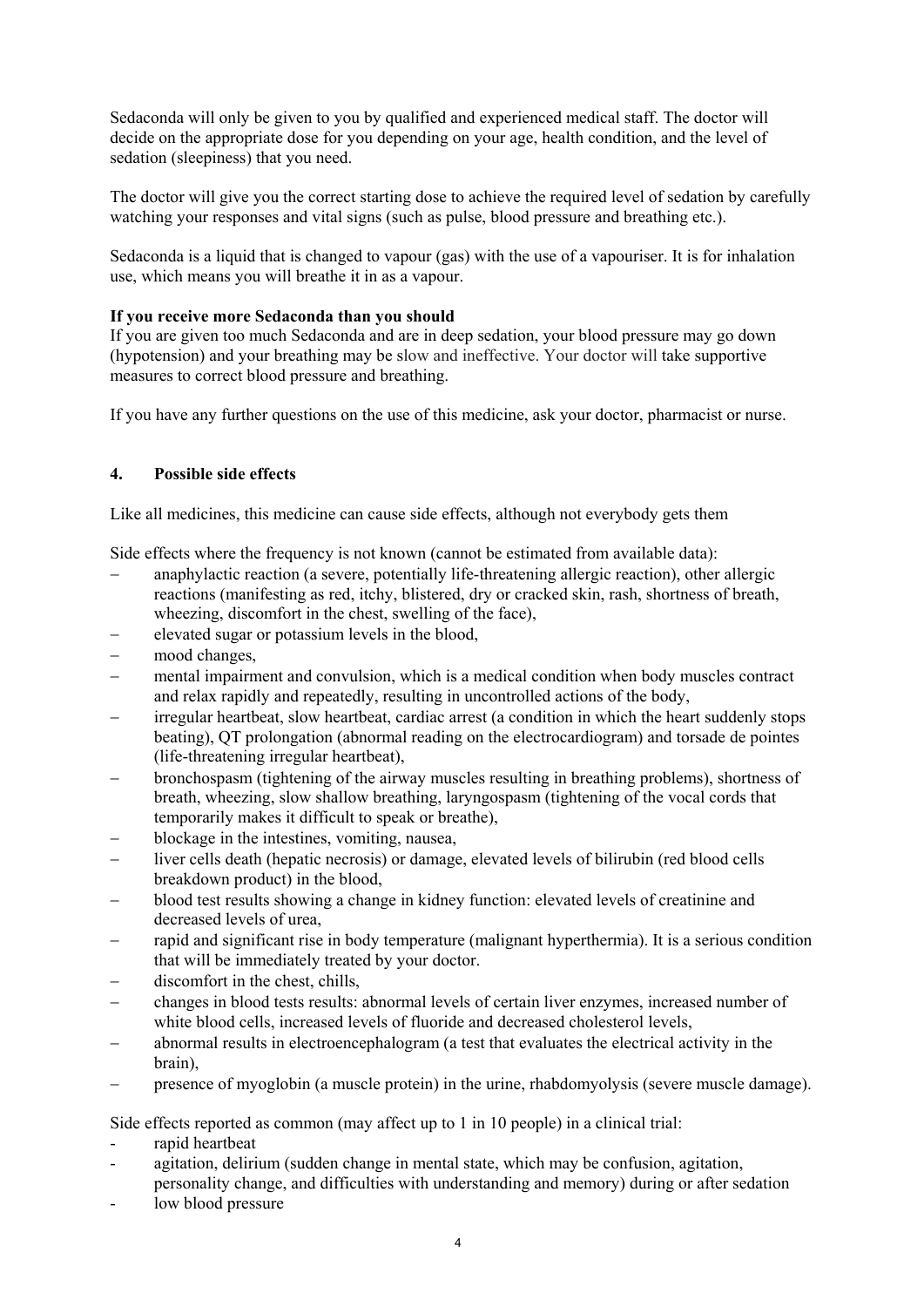Sedaconda will only be given to you by qualified and experienced medical staff. The doctor will decide on the appropriate dose for you depending on your age, health condition, and the level of sedation (sleepiness) that you need.

The doctor will give you the correct starting dose to achieve the required level of sedation by carefully watching your responses and vital signs (such as pulse, blood pressure and breathing etc.).

Sedaconda is a liquid that is changed to vapour (gas) with the use of a vapouriser. It is for inhalation use, which means you will breathe it in as a vapour.

# **If you receive more Sedaconda than you should**

If you are given too much Sedaconda and are in deep sedation, your blood pressure may go down (hypotension) and your breathing may be slow and ineffective. Your doctor will take supportive measures to correct blood pressure and breathing.

If you have any further questions on the use of this medicine, ask your doctor, pharmacist or nurse.

# **4. Possible side effects**

Like all medicines, this medicine can cause side effects, although not everybody gets them

Side effects where the frequency is not known (cannot be estimated from available data):

- anaphylactic reaction (a severe, potentially life-threatening allergic reaction), other allergic reactions (manifesting as red, itchy, blistered, dry or cracked skin, rash, shortness of breath, wheezing, discomfort in the chest, swelling of the face),
- elevated sugar or potassium levels in the blood,
- mood changes.
- mental impairment and convulsion, which is a medical condition when body muscles contract and relax rapidly and repeatedly, resulting in uncontrolled actions of the body,
- irregular heartbeat, slow heartbeat, cardiac arrest (a condition in which the heart suddenly stops beating), QT prolongation (abnormal reading on the electrocardiogram) and torsade de pointes (life-threatening irregular heartbeat),
- bronchospasm (tightening of the airway muscles resulting in breathing problems), shortness of breath, wheezing, slow shallow breathing, laryngospasm (tightening of the vocal cords that temporarily makes it difficult to speak or breathe),
- blockage in the intestines, vomiting, nausea,
- liver cells death (hepatic necrosis) or damage, elevated levels of bilirubin (red blood cells breakdown product) in the blood,
- blood test results showing a change in kidney function: elevated levels of creatinine and decreased levels of urea,
- rapid and significant rise in body temperature (malignant hyperthermia). It is a serious condition that will be immediately treated by your doctor.
- discomfort in the chest, chills,
- changes in blood tests results: abnormal levels of certain liver enzymes, increased number of white blood cells, increased levels of fluoride and decreased cholesterol levels,
- abnormal results in electroencephalogram (a test that evaluates the electrical activity in the brain),
- presence of myoglobin (a muscle protein) in the urine, rhabdomyolysis (severe muscle damage).

Side effects reported as common (may affect up to 1 in 10 people) in a clinical trial:

- rapid heartbeat
- agitation, delirium (sudden change in mental state, which may be confusion, agitation, personality change, and difficulties with understanding and memory) during or after sedation
- low blood pressure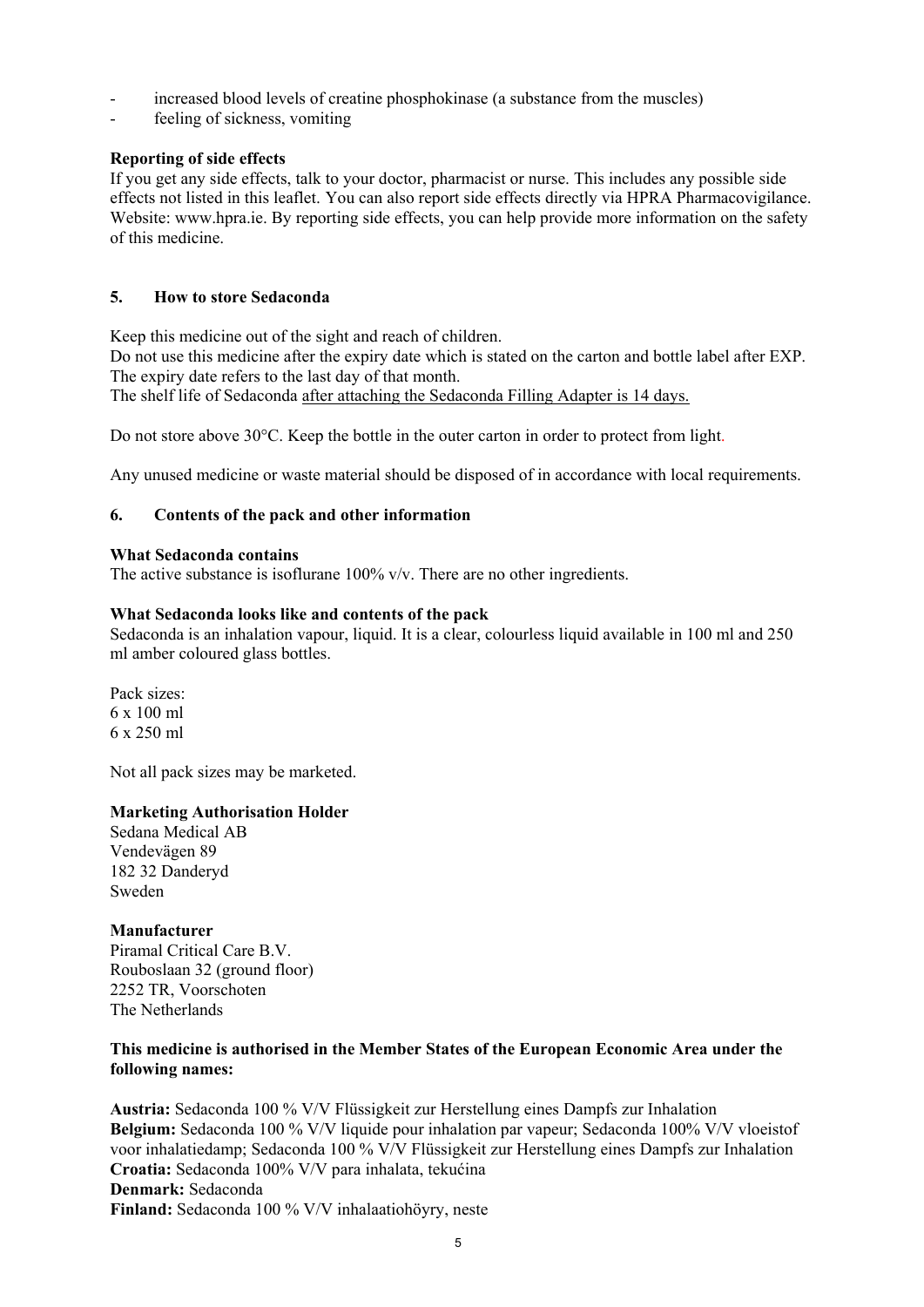- increased blood levels of creatine phosphokinase (a substance from the muscles)
- feeling of sickness, vomiting

# **Reporting of side effects**

If you get any side effects, talk to your doctor, pharmacist or nurse. This includes any possible side effects not listed in this leaflet. You can also report side effects directly via HPRA Pharmacovigilance. Website: www.hpra.ie. By reporting side effects, you can help provide more information on the safety of this medicine.

# **5. How to store Sedaconda**

Keep this medicine out of the sight and reach of children.

Do not use this medicine after the expiry date which is stated on the carton and bottle label after EXP. The expiry date refers to the last day of that month.

The shelf life of Sedaconda after attaching the Sedaconda Filling Adapter is 14 days.

Do not store above 30°C. Keep the bottle in the outer carton in order to protect from light.

Any unused medicine or waste material should be disposed of in accordance with local requirements.

# **6. Contents of the pack and other information**

### **What Sedaconda contains**

The active substance is isoflurane  $100\%$  v/v. There are no other ingredients.

# **What Sedaconda looks like and contents of the pack**

Sedaconda is an inhalation vapour, liquid. It is a clear, colourless liquid available in 100 ml and 250 ml amber coloured glass bottles.

Pack sizes: 6 x 100 ml 6 x 250 ml

Not all pack sizes may be marketed.

### **Marketing Authorisation Holder**

Sedana Medical AB Vendevägen 89 182 32 Danderyd Sweden

### **Manufacturer**

Piramal Critical Care B.V. Rouboslaan 32 (ground floor) 2252 TR, Voorschoten The Netherlands

# **This medicine is authorised in the Member States of the European Economic Area under the following names:**

**Austria:** Sedaconda 100 % V/V Flüssigkeit zur Herstellung eines Dampfs zur Inhalation **Belgium:** Sedaconda 100 % V/V liquide pour inhalation par vapeur; Sedaconda 100% V/V vloeistof voor inhalatiedamp; Sedaconda 100 % V/V Flüssigkeit zur Herstellung eines Dampfs zur Inhalation **Croatia:** Sedaconda 100% V/V para inhalata, tekućina **Denmark:** Sedaconda **Finland:** Sedaconda 100 % V/V inhalaatiohöyry, neste